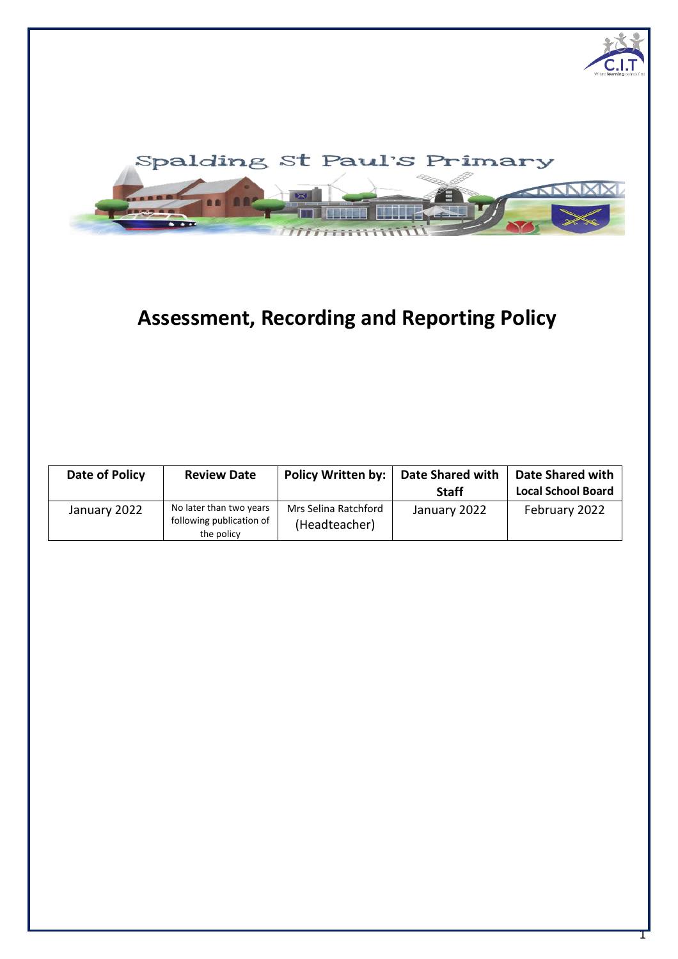

# **Assessment, Recording and Reporting Policy**

| Date of Policy | <b>Review Date</b>                                                | Policy Written by:                    | <b>Date Shared with</b><br><b>Staff</b> | <b>Date Shared with</b><br><b>Local School Board</b> |
|----------------|-------------------------------------------------------------------|---------------------------------------|-----------------------------------------|------------------------------------------------------|
| January 2022   | No later than two years<br>following publication of<br>the policy | Mrs Selina Ratchford<br>(Headteacher) | January 2022                            | February 2022                                        |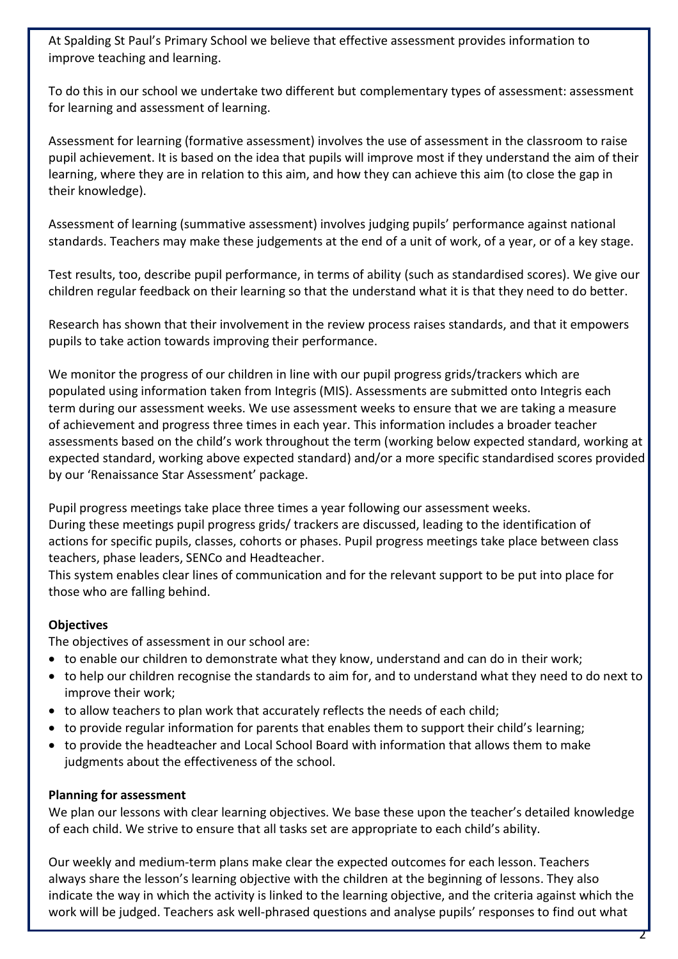At Spalding St Paul's Primary School we believe that effective assessment provides information to improve teaching and learning.

To do this in our school we undertake two different but complementary types of assessment: assessment for learning and assessment of learning.

Assessment for learning (formative assessment) involves the use of assessment in the classroom to raise pupil achievement. It is based on the idea that pupils will improve most if they understand the aim of their learning, where they are in relation to this aim, and how they can achieve this aim (to close the gap in their knowledge).

Assessment of learning (summative assessment) involves judging pupils' performance against national standards. Teachers may make these judgements at the end of a unit of work, of a year, or of a key stage.

Test results, too, describe pupil performance, in terms of ability (such as standardised scores). We give our children regular feedback on their learning so that the understand what it is that they need to do better.

Research has shown that their involvement in the review process raises standards, and that it empowers pupils to take action towards improving their performance.

We monitor the progress of our children in line with our pupil progress grids/trackers which are populated using information taken from Integris (MIS). Assessments are submitted onto Integris each term during our assessment weeks. We use assessment weeks to ensure that we are taking a measure of achievement and progress three times in each year. This information includes a broader teacher assessments based on the child's work throughout the term (working below expected standard, working at expected standard, working above expected standard) and/or a more specific standardised scores provided by our 'Renaissance Star Assessment' package.

Pupil progress meetings take place three times a year following our assessment weeks. During these meetings pupil progress grids/ trackers are discussed, leading to the identification of actions for specific pupils, classes, cohorts or phases. Pupil progress meetings take place between class teachers, phase leaders, SENCo and Headteacher.

This system enables clear lines of communication and for the relevant support to be put into place for those who are falling behind.

#### **Objectives**

The objectives of assessment in our school are:

- to enable our children to demonstrate what they know, understand and can do in their work;
- to help our children recognise the standards to aim for, and to understand what they need to do next to improve their work;
- to allow teachers to plan work that accurately reflects the needs of each child;
- to provide regular information for parents that enables them to support their child's learning;
- to provide the headteacher and Local School Board with information that allows them to make judgments about the effectiveness of the school.

#### **Planning for assessment**

We plan our lessons with clear learning objectives. We base these upon the teacher's detailed knowledge of each child. We strive to ensure that all tasks set are appropriate to each child's ability.

Our weekly and medium-term plans make clear the expected outcomes for each lesson. Teachers always share the lesson's learning objective with the children at the beginning of lessons. They also indicate the way in which the activity is linked to the learning objective, and the criteria against which the work will be judged. Teachers ask well-phrased questions and analyse pupils' responses to find out what